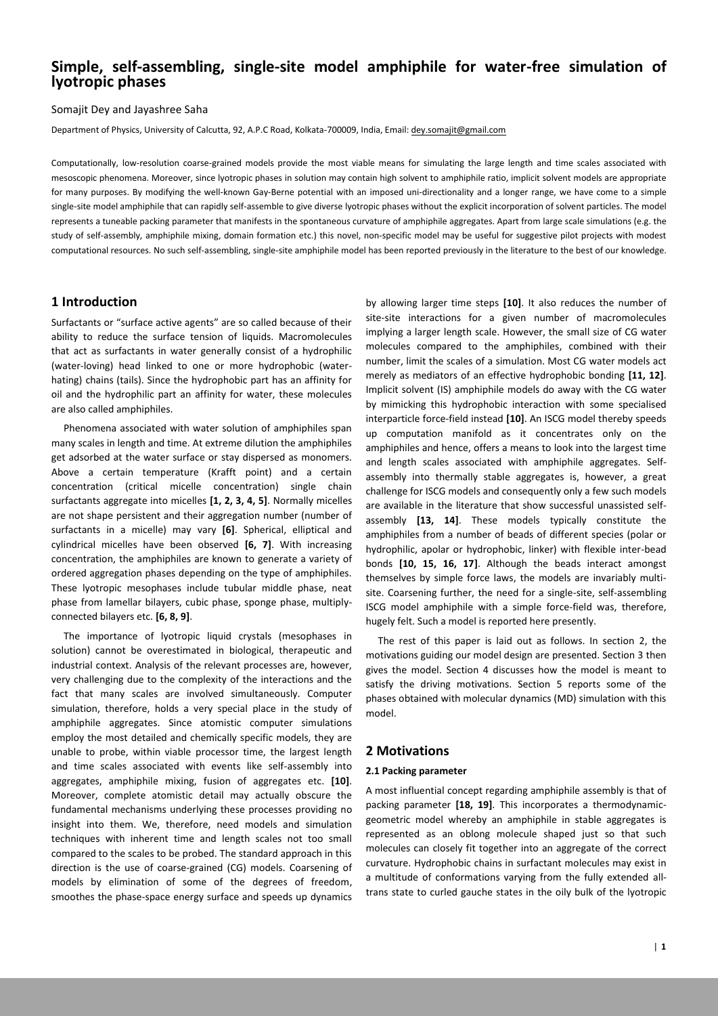# **Simple, self-assembling, single-site model amphiphile for water-free simulation of lyotropic phases**

Somajit Dey and Jayashree Saha

Department of Physics, University of Calcutta, 92, A.P.C Road, Kolkata-700009, India, Email: dey.somajit@gmail.com

Computationally, low-resolution coarse-grained models provide the most viable means for simulating the large length and time scales associated with mesoscopic phenomena. Moreover, since lyotropic phases in solution may contain high solvent to amphiphile ratio, implicit solvent models are appropriate for many purposes. By modifying the well-known Gay-Berne potential with an imposed uni-directionality and a longer range, we have come to a simple single-site model amphiphile that can rapidly self-assemble to give diverse lyotropic phases without the explicit incorporation of solvent particles. The model represents a tuneable packing parameter that manifests in the spontaneous curvature of amphiphile aggregates. Apart from large scale simulations (e.g. the study of self-assembly, amphiphile mixing, domain formation etc.) this novel, non-specific model may be useful for suggestive pilot projects with modest computational resources. No such self-assembling, single-site amphiphile model has been reported previously in the literature to the best of our knowledge.

## **1 Introduction**

Surfactants or "surface active agents" are so called because of their ability to reduce the surface tension of liquids. Macromolecules that act as surfactants in water generally consist of a hydrophilic (water-loving) head linked to one or more hydrophobic (waterhating) chains (tails). Since the hydrophobic part has an affinity for oil and the hydrophilic part an affinity for water, these molecules are also called amphiphiles.

 Phenomena associated with water solution of amphiphiles span many scales in length and time. At extreme dilution the amphiphiles get adsorbed at the water surface or stay dispersed as monomers. Above a certain temperature (Krafft point) and a certain concentration (critical micelle concentration) single chain surfactants aggregate into micelles **[1, 2, 3, 4, 5]**. Normally micelles are not shape persistent and their aggregation number (number of surfactants in a micelle) may vary **[6]**. Spherical, elliptical and cylindrical micelles have been observed **[6, 7]**. With increasing concentration, the amphiphiles are known to generate a variety of ordered aggregation phases depending on the type of amphiphiles. These lyotropic mesophases include tubular middle phase, neat phase from lamellar bilayers, cubic phase, sponge phase, multiplyconnected bilayers etc. **[6, 8, 9]**.

 The importance of lyotropic liquid crystals (mesophases in solution) cannot be overestimated in biological, therapeutic and industrial context. Analysis of the relevant processes are, however, very challenging due to the complexity of the interactions and the fact that many scales are involved simultaneously. Computer simulation, therefore, holds a very special place in the study of amphiphile aggregates. Since atomistic computer simulations employ the most detailed and chemically specific models, they are unable to probe, within viable processor time, the largest length and time scales associated with events like self-assembly into aggregates, amphiphile mixing, fusion of aggregates etc. **[10]**. Moreover, complete atomistic detail may actually obscure the fundamental mechanisms underlying these processes providing no insight into them. We, therefore, need models and simulation techniques with inherent time and length scales not too small compared to the scales to be probed. The standard approach in this direction is the use of coarse-grained (CG) models. Coarsening of models by elimination of some of the degrees of freedom, smoothes the phase-space energy surface and speeds up dynamics

by allowing larger time steps **[10]**. It also reduces the number of site-site interactions for a given number of macromolecules implying a larger length scale. However, the small size of CG water molecules compared to the amphiphiles, combined with their number, limit the scales of a simulation. Most CG water models act merely as mediators of an effective hydrophobic bonding **[11, 12]**. Implicit solvent (IS) amphiphile models do away with the CG water by mimicking this hydrophobic interaction with some specialised interparticle force-field instead **[10]**. An ISCG model thereby speeds up computation manifold as it concentrates only on the amphiphiles and hence, offers a means to look into the largest time and length scales associated with amphiphile aggregates. Selfassembly into thermally stable aggregates is, however, a great challenge for ISCG models and consequently only a few such models are available in the literature that show successful unassisted selfassembly **[13, 14]**. These models typically constitute the amphiphiles from a number of beads of different species (polar or hydrophilic, apolar or hydrophobic, linker) with flexible inter-bead bonds **[10, 15, 16, 17]**. Although the beads interact amongst themselves by simple force laws, the models are invariably multisite. Coarsening further, the need for a single-site, self-assembling ISCG model amphiphile with a simple force-field was, therefore, hugely felt. Such a model is reported here presently.

 The rest of this paper is laid out as follows. In section 2, the motivations guiding our model design are presented. Section 3 then gives the model. Section 4 discusses how the model is meant to satisfy the driving motivations. Section 5 reports some of the phases obtained with molecular dynamics (MD) simulation with this model.

## **2 Motivations**

#### **2.1 Packing parameter**

A most influential concept regarding amphiphile assembly is that of packing parameter **[18, 19]**. This incorporates a thermodynamicgeometric model whereby an amphiphile in stable aggregates is represented as an oblong molecule shaped just so that such molecules can closely fit together into an aggregate of the correct curvature. Hydrophobic chains in surfactant molecules may exist in a multitude of conformations varying from the fully extended alltrans state to curled gauche states in the oily bulk of the lyotropic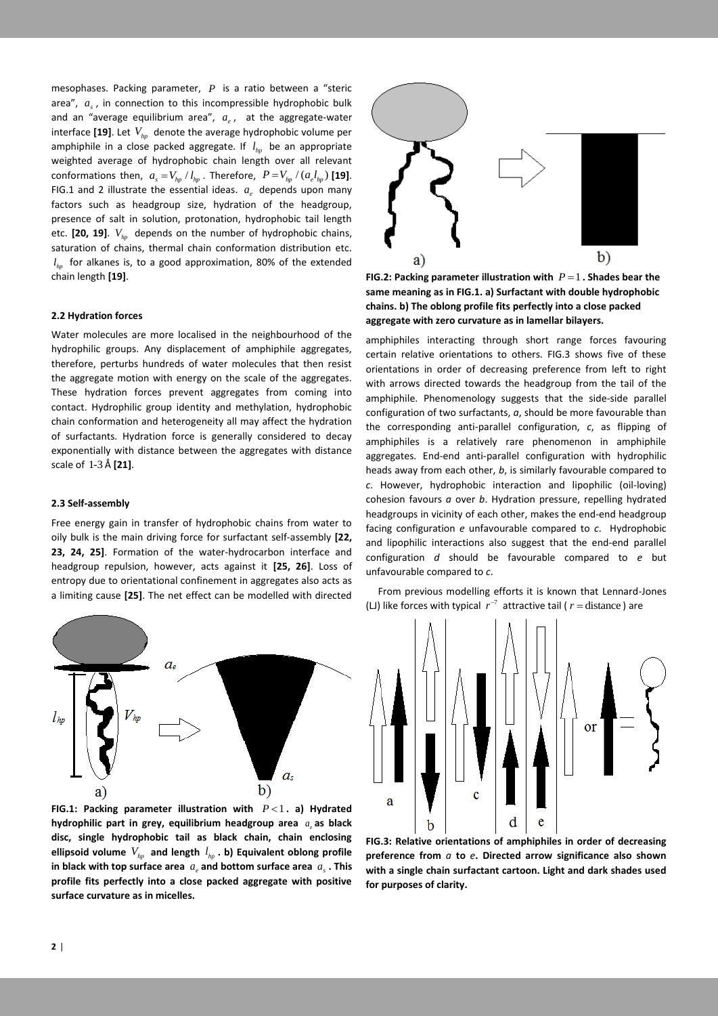mesophases. Packing parameter, *P* is a ratio between a "steric area",  $a<sub>s</sub>$ , in connection to this incompressible hydrophobic bulk and an "average equilibrium area",  $a_e$ , at the aggregate-water interface [19]. Let  $V_{\scriptscriptstyle{hp}}$  denote the average hydrophobic volume per amphiphile in a close packed aggregate. If *hp l* be an appropriate weighted average of hydrophobic chain length over all relevant conformations then,  $a_s = V_{hp} / l_{hp}$ . Therefore,  $P = V_{hp} / (a_e l_{hp})$  [19]. FIG.1 and 2 illustrate the essential ideas.  $a_e$  depends upon many factors such as headgroup size, hydration of the headgroup, presence of salt in solution, protonation, hydrophobic tail length etc. **[20, 19]**. *Vhp* depends on the number of hydrophobic chains, saturation of chains, thermal chain conformation distribution etc. *hp l* for alkanes is, to a good approximation, 80% of the extended chain length **[19]**.

#### **2.2 Hydration forces**

Water molecules are more localised in the neighbourhood of the hydrophilic groups. Any displacement of amphiphile aggregates, therefore, perturbs hundreds of water molecules that then resist the aggregate motion with energy on the scale of the aggregates. These hydration forces prevent aggregates from coming into contact. Hydrophilic group identity and methylation, hydrophobic chain conformation and heterogeneity all may affect the hydration of surfactants. Hydration force is generally considered to decay exponentially with distance between the aggregates with distance scale of 1-3 Å **[21]**.

#### **2.3 Self-assembly**

Free energy gain in transfer of hydrophobic chains from water to oily bulk is the main driving force for surfactant self-assembly **[22, 23, 24, 25]**. Formation of the water-hydrocarbon interface and headgroup repulsion, however, acts against it **[25, 26]**. Loss of entropy due to orientational confinement in aggregates also acts as a limiting cause **[25]**. The net effect can be modelled with directed



FIG.1: Packing parameter illustration with  $P < 1$ . a) Hydrated hydrophilic part in grey, equilibrium headgroup area  $a_e$  as black **disc, single hydrophobic tail as black chain, chain enclosing**  ellipsoid volume  $V_{hp}$  and length  $l_{hp}$  . b) Equivalent oblong profile in black with top surface area  $a_e$  and bottom surface area  $a_s$  . This **profile fits perfectly into a close packed aggregate with positive surface curvature as in micelles.**



**FIG.2: Packing parameter illustration with**  $P = 1$ **. Shades bear the same meaning as in FIG.1. a) Surfactant with double hydrophobic chains. b) The oblong profile fits perfectly into a close packed aggregate with zero curvature as in lamellar bilayers.**

amphiphiles interacting through short range forces favouring certain relative orientations to others. FIG.3 shows five of these orientations in order of decreasing preference from left to right with arrows directed towards the headgroup from the tail of the amphiphile. Phenomenology suggests that the side-side parallel configuration of two surfactants, *a*, should be more favourable than the corresponding anti-parallel configuration, *c*, as flipping of amphiphiles is a relatively rare phenomenon in amphiphile aggregates. End-end anti-parallel configuration with hydrophilic heads away from each other, *b*, is similarly favourable compared to *c*. However, hydrophobic interaction and lipophilic (oil-loving) cohesion favours *a* over *b*. Hydration pressure, repelling hydrated headgroups in vicinity of each other, makes the end-end headgroup facing configuration *e* unfavourable compared to *c*. Hydrophobic and lipophilic interactions also suggest that the end-end parallel configuration *d* should be favourable compared to *e* but unfavourable compared to *c*.

 From previous modelling efforts it is known that Lennard-Jones (LJ) like forces with typical  $r^{-7}$  attractive tail ( $r =$  distance) are



**FIG.3: Relative orientations of amphiphiles in order of decreasing preference from** *a* **to** *e***. Directed arrow significance also shown with a single chain surfactant cartoon. Light and dark shades used for purposes of clarity.**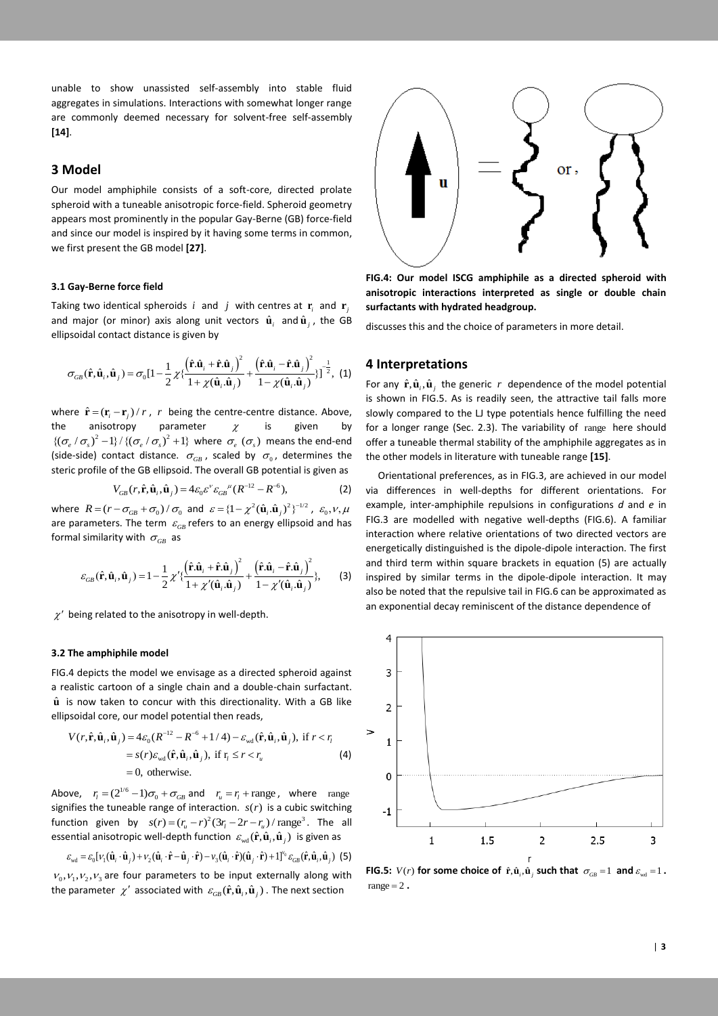unable to show unassisted self-assembly into stable fluid aggregates in simulations. Interactions with somewhat longer range are commonly deemed necessary for solvent-free self-assembly **[14]**.

## **3 Model**

Our model amphiphile consists of a soft-core, directed prolate spheroid with a tuneable anisotropic force-field. Spheroid geometry appears most prominently in the popular Gay-Berne (GB) force-field and since our model is inspired by it having some terms in common, we first present the GB model **[27]**.

#### **3.1 Gay-Berne force field**

Taking two identical spheroids  $i$  and  $j$  with centres at  $\mathbf{r}_i$  and  $\mathbf{r}_j$ and major (or minor) axis along unit vectors  $\hat{\mathbf{u}}_i$  and  $\hat{\mathbf{u}}_j$ , the GB ellipsoidal contact distance is given by

$$
\sigma_{GB}(\hat{\mathbf{r}}, \hat{\mathbf{u}}_i, \hat{\mathbf{u}}_j) = \sigma_0 \left[ 1 - \frac{1}{2} \chi \{ \frac{\left( \hat{\mathbf{r}} . \hat{\mathbf{u}}_i + \hat{\mathbf{r}} . \hat{\mathbf{u}}_j \right)^2}{1 + \chi(\hat{\mathbf{u}}_i \cdot \hat{\mathbf{u}}_j)} + \frac{\left( \hat{\mathbf{r}} . \hat{\mathbf{u}}_i - \hat{\mathbf{r}} . \hat{\mathbf{u}}_j \right)^2}{1 - \chi(\hat{\mathbf{u}}_i \cdot \hat{\mathbf{u}}_j)} \} \right]^{-\frac{1}{2}}, \tag{1}
$$

where  $\hat{\mathbf{r}} = (\mathbf{r}_i - \mathbf{r}_j) / r$ , *r* being the centre-centre distance. Above, the anisotropy parameter  $\chi$ is given by  $\{(\sigma_e/\sigma_s)^2 - 1\} / \{(\sigma_e/\sigma_s)^2 + 1\}$  where  $\sigma_e(\sigma_s)$  means the end-end (side-side) contact distance.  $\sigma_{\scriptscriptstyle GB}$ , scaled by  $\sigma_{\scriptscriptstyle 0}$ , determines the steric profile of the GB ellipsoid. The overall GB potential is given as

$$
V_{GB}(r, \hat{\mathbf{r}}, \hat{\mathbf{u}}_i, \hat{\mathbf{u}}_j) = 4\varepsilon_0 \varepsilon^{\nu} \varepsilon_{GB}^{\mu} (R^{-12} - R^{-6}),
$$
 (2)

where  $R = (r - \sigma_{GB} + \sigma_0) / \sigma_0$  and  $\varepsilon = \{1 - \chi^2 (\hat{\mathbf{u}}_i \cdot \hat{\mathbf{u}}_j)^2\}^{-1/2}$ ,  $\varepsilon_0, v, \mu$ are parameters. The term  $\varepsilon_{\scriptscriptstyle GB}$  refers to an energy ellipsoid and has formal similarity with  $\sigma_{\scriptscriptstyle GB}^{}$  as

$$
\varepsilon_{GB}(\hat{\mathbf{r}}, \hat{\mathbf{u}}_i, \hat{\mathbf{u}}_j) = 1 - \frac{1}{2} \chi' \{ \frac{(\hat{\mathbf{r}}, \hat{\mathbf{u}}_i + \hat{\mathbf{r}}, \hat{\mathbf{u}}_j)^2}{1 + \chi'(\hat{\mathbf{u}}_i, \hat{\mathbf{u}}_j)} + \frac{(\hat{\mathbf{r}}, \hat{\mathbf{u}}_i - \hat{\mathbf{r}}, \hat{\mathbf{u}}_j)^2}{1 - \chi'(\hat{\mathbf{u}}_i, \hat{\mathbf{u}}_j)},
$$
(3)

 $\chi'$  being related to the anisotropy in well-depth.

#### **3.2 The amphiphile model**

FIG.4 depicts the model we envisage as a directed spheroid against a realistic cartoon of a single chain and a double-chain surfactant.  $\hat{\mathbf{u}}$  is now taken to concur with this directionality. With a GB like

ellipsoidal core, our model potential then reads,  
\n
$$
V(r, \hat{\mathbf{r}}, \hat{\mathbf{u}}_i, \hat{\mathbf{u}}_j) = 4\varepsilon_0 (R^{-12} - R^{-6} + 1/4) - \varepsilon_{\text{wd}}(\hat{\mathbf{r}}, \hat{\mathbf{u}}_i, \hat{\mathbf{u}}_j), \text{ if } r < r_i
$$
\n
$$
= s(r)\varepsilon_{\text{wd}}(\hat{\mathbf{r}}, \hat{\mathbf{u}}_i, \hat{\mathbf{u}}_j), \text{ if } r_i \le r < r_i
$$
\n
$$
= 0, \text{ otherwise.}
$$
\n(4)

Above,  $r_i = (2^{1/6} - 1)\sigma_0 + \sigma_{GB}$  and  $r_u = r_i + \text{range}$ , where range signifies the tuneable range of interaction.  $s(r)$  is a cubic switching signmes the turneable range of interaction:  $s(r)$  is a cubic switching function given by  $s(r) = (r_u - r)^2 (3r_l - 2r - r_u) / \text{range}^3$ . The all essential anisotropic well-depth function  $\varepsilon_{\text{wd}}(\hat{\mathbf{r}}, \hat{\mathbf{u}}_i, \hat{\mathbf{u}}_j)$  is given as<br>  $\varepsilon_{\text{wd}} = \varepsilon_0 [v_1(\hat{\mathbf{u}}_i \cdot \hat{\mathbf{u}}_j) + v_2(\hat{\mathbf{u}}_i \cdot \hat{\mathbf{r}} - \hat{\mathbf{u}}_j \cdot \hat{\mathbf{r}}) - v_3(\hat{\mathbf{u}}_i \cdot \hat{\mathbf{r}})(\hat{\mathbf{u}}_$ 

$$
\mathcal{E}_{\text{wd}} = \varepsilon_0 [\nu_1(\hat{\mathbf{u}}_i \cdot \hat{\mathbf{u}}_j) + \nu_2(\hat{\mathbf{u}}_i \cdot \hat{\mathbf{r}} - \hat{\mathbf{u}}_j \cdot \hat{\mathbf{r}}) - \nu_3(\hat{\mathbf{u}}_i \cdot \hat{\mathbf{r}})(\hat{\mathbf{u}}_j \cdot \hat{\mathbf{r}}) + 1]^{\nu_0} \varepsilon_{GB}(\hat{\mathbf{r}}, \hat{\mathbf{u}}_i, \hat{\mathbf{u}}_j)
$$
 (5)

 $V_0, V_1, V_2, V_3$  are four parameters to be input externally along with the parameter  $\chi'$  associated with  $\varepsilon_{\scriptscriptstyle GB}(\hat{\bf r},\hat{\bf u}_i,\hat{\bf u}_j)$  . The next section



**FIG.4: Our model ISCG amphiphile as a directed spheroid with anisotropic interactions interpreted as single or double chain surfactants with hydrated headgroup.**

discusses this and the choice of parameters in more detail.

## **4 Interpretations**

For any  $\hat{\mathbf{r}}, \hat{\mathbf{u}}_i, \hat{\mathbf{u}}_j$  the generic r dependence of the model potential is shown in FIG.5. As is readily seen, the attractive tail falls more slowly compared to the LJ type potentials hence fulfilling the need for a longer range (Sec. 2.3). The variability of range here should offer a tuneable thermal stability of the amphiphile aggregates as in the other models in literature with tuneable range **[15]**.

 Orientational preferences, as in FIG.3, are achieved in our model via differences in well-depths for different orientations. For example, inter-amphiphile repulsions in configurations *d* and *e* in FIG.3 are modelled with negative well-depths (FIG.6). A familiar interaction where relative orientations of two directed vectors are energetically distinguished is the dipole-dipole interaction. The first and third term within square brackets in equation (5) are actually inspired by similar terms in the dipole-dipole interaction. It may also be noted that the repulsive tail in FIG.6 can be approximated as an exponential decay reminiscent of the distance dependence of



**FIG.5:**  $V(r)$  for some choice of  $\hat{\mathbf{r}}, \hat{\mathbf{u}}_i, \hat{\mathbf{u}}_j$  such that  $\sigma_{GB} = 1$  and  $\varepsilon_{wd} = 1$ . range  $= 2$ .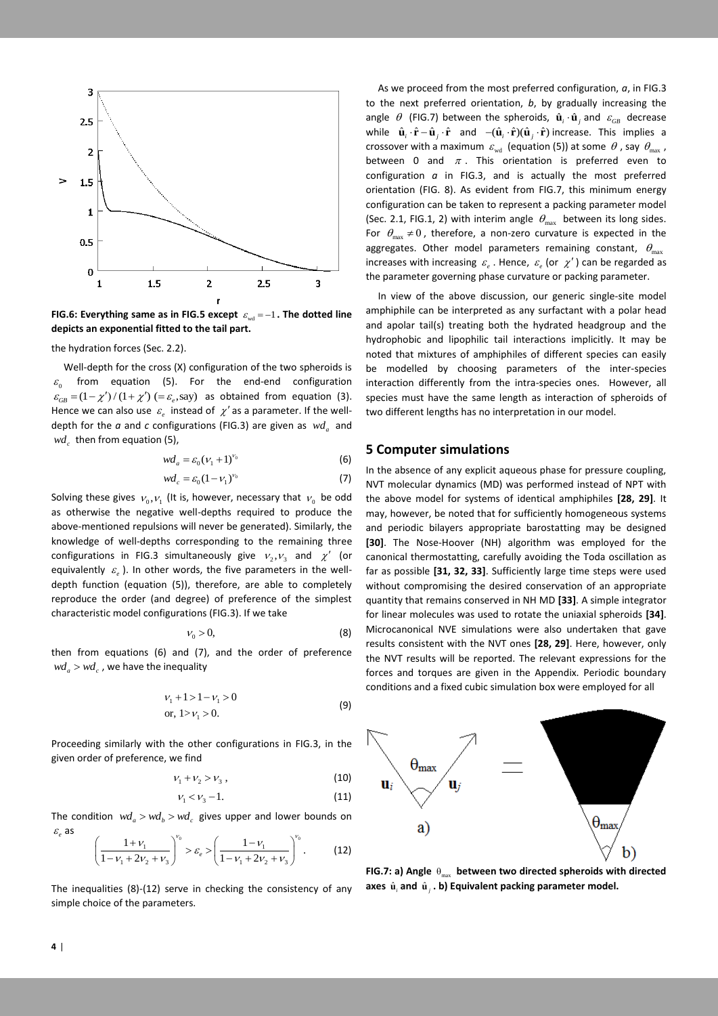

FIG.6: Everything same as in FIG.5 except  $\varepsilon_{\text{wd}} = -1$  . The dotted line **depicts an exponential fitted to the tail part.**

the hydration forces (Sec. 2.2).

 Well-depth for the cross (X) configuration of the two spheroids is  $\varepsilon_{\text{0}}$ from equation (5). For the end-end configuration  $\varepsilon_{GB} = (1 - \chi')/(1 + \chi')$  (=  $\varepsilon_e$ , say) as obtained from equation (3). Hence we can also use  $\varepsilon_e$  instead of  $\chi'$  as a parameter. If the welldepth for the  $a$  and  $c$  configurations (FIG.3) are given as  $\lceil ad \rceil$  and  $wd_c$  then from equation (5),

$$
wd_a = \varepsilon_0 (\nu_1 + 1)^{\nu_0} \tag{6}
$$

$$
wd_c = \varepsilon_0 (1 - \nu_1)^{\nu_0} \tag{7}
$$

Solving these gives  $v_0, v_1$  (It is, however, necessary that  $v_0$  be odd as otherwise the negative well-depths required to produce the above-mentioned repulsions will never be generated). Similarly, the knowledge of well-depths corresponding to the remaining three configurations in FIG.3 simultaneously give  $v_2, v_3$  and  $\chi'$  (or equivalently  $\varepsilon_{_e}$ ). In other words, the five parameters in the welldepth function (equation (5)), therefore, are able to completely reproduce the order (and degree) of preference of the simplest characteristic model configurations (FIG.3). If we take

$$
V_0 > 0,\t\t(8)
$$

then from equations (6) and (7), and the order of preference  $wd_a > wd_c$  , we have the inequality

$$
\nu_1 + 1 > 1 - \nu_1 > 0
$$
  
or,  $1 > \nu_1 > 0$ . (9)

Proceeding similarly with the other configurations in FIG.3, in the given order of preference, we find

$$
V_1 + V_2 > V_3 \t\t(10)
$$

$$
V_1 < V_3 - 1. \tag{11}
$$

The condition  $wd_a > wd_b > wd_c$  gives upper and lower bounds on  $\varepsilon_{_e}$  as  $v_0$  ( 1  $\qquad$  )<sup> $V_0$ </sup>

$$
\left(\frac{1+\nu_1}{1-\nu_1+2\nu_2+\nu_3}\right)^{\nu_0} > \varepsilon_e > \left(\frac{1-\nu_1}{1-\nu_1+2\nu_2+\nu_3}\right)^{\nu_0}.\tag{12}
$$

The inequalities (8)-(12) serve in checking the consistency of any simple choice of the parameters.

 As we proceed from the most preferred configuration, *a*, in FIG.3 to the next preferred orientation, *b*, by gradually increasing the angle  $\theta$  (FIG.7) between the spheroids,  $\hat{\mathbf{u}}_i \cdot \hat{\mathbf{u}}_j$  and  $\varepsilon_{GB}$  decrease while  $\hat{\mathbf{u}}_i \cdot \hat{\mathbf{r}} - \hat{\mathbf{u}}_j \cdot \hat{\mathbf{r}}$  and  $-(\hat{\mathbf{u}}_i \cdot \hat{\mathbf{r}})(\hat{\mathbf{u}}_j \cdot \hat{\mathbf{r}})$  increase. This implies a crossover with a maximum  $\varepsilon_{\text{wd}}$  (equation (5)) at some  $\theta$  , say  $\theta_{\text{max}}$ , between 0 and  $\pi$ . This orientation is preferred even to configuration *a* in FIG.3, and is actually the most preferred orientation (FIG. 8). As evident from FIG.7, this minimum energy configuration can be taken to represent a packing parameter model (Sec. 2.1, FIG.1, 2) with interim angle  $\theta_{\text{max}}$  between its long sides. For  $\theta_{\text{max}} \neq 0$ , therefore, a non-zero curvature is expected in the aggregates. Other model parameters remaining constant,  $\theta_{\text{max}}$ increases with increasing  $\varepsilon_e$ . Hence,  $\varepsilon_e$  (or  $\chi'$ ) can be regarded as the parameter governing phase curvature or packing parameter.

 In view of the above discussion, our generic single-site model amphiphile can be interpreted as any surfactant with a polar head and apolar tail(s) treating both the hydrated headgroup and the hydrophobic and lipophilic tail interactions implicitly. It may be noted that mixtures of amphiphiles of different species can easily be modelled by choosing parameters of the inter-species interaction differently from the intra-species ones. However, all species must have the same length as interaction of spheroids of two different lengths has no interpretation in our model.

## **5 Computer simulations**

In the absence of any explicit aqueous phase for pressure coupling, NVT molecular dynamics (MD) was performed instead of NPT with the above model for systems of identical amphiphiles **[28, 29]**. It may, however, be noted that for sufficiently homogeneous systems and periodic bilayers appropriate barostatting may be designed **[30]**. The Nose-Hoover (NH) algorithm was employed for the canonical thermostatting, carefully avoiding the Toda oscillation as far as possible **[31, 32, 33]**. Sufficiently large time steps were used without compromising the desired conservation of an appropriate quantity that remains conserved in NH MD **[33]**. A simple integrator for linear molecules was used to rotate the uniaxial spheroids **[34]**. Microcanonical NVE simulations were also undertaken that gave results consistent with the NVT ones **[28, 29]**. Here, however, only the NVT results will be reported. The relevant expressions for the forces and torques are given in the Appendix. Periodic boundary conditions and a fixed cubic simulation box were employed for all



**FIG.7: a) Angle**  $\theta_{\text{max}}$  **between two directed spheroids with directed** axes  $\hat{\mathbf{u}}_i$  and  $\hat{\mathbf{u}}_j$ . b) Equivalent packing parameter model.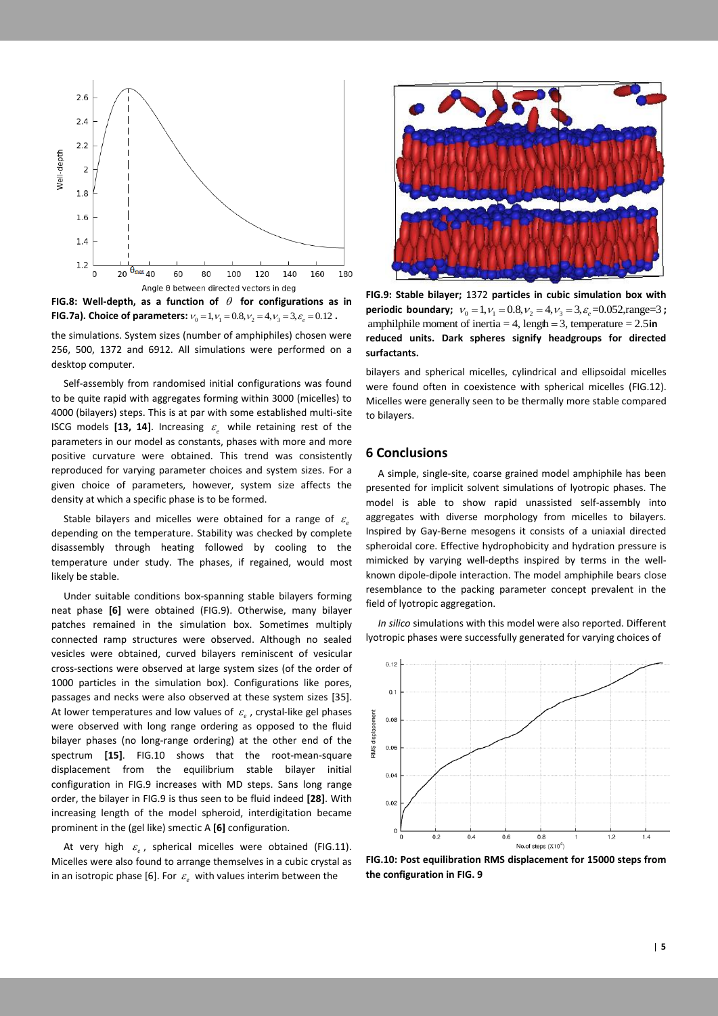

FIG.8: Well-depth, as a function of  $\theta$  for configurations as in **FIG.7a). Choice of parameters:**  $v_0 = 1, v_1 = 0.8, v_2 = 4, v_3 = 3, \varepsilon_e = 0.12$ .

the simulations. System sizes (number of amphiphiles) chosen were 256, 500, 1372 and 6912. All simulations were performed on a desktop computer.

 Self-assembly from randomised initial configurations was found to be quite rapid with aggregates forming within 3000 (micelles) to 4000 (bilayers) steps. This is at par with some established multi-site ISCG models [13, 14]. Increasing  $\varepsilon_e$  while retaining rest of the parameters in our model as constants, phases with more and more positive curvature were obtained. This trend was consistently reproduced for varying parameter choices and system sizes. For a given choice of parameters, however, system size affects the density at which a specific phase is to be formed.

Stable bilayers and micelles were obtained for a range of  $\varepsilon_e$ depending on the temperature. Stability was checked by complete disassembly through heating followed by cooling to the temperature under study. The phases, if regained, would most likely be stable.

 Under suitable conditions box-spanning stable bilayers forming neat phase **[6]** were obtained (FIG.9). Otherwise, many bilayer patches remained in the simulation box. Sometimes multiply connected ramp structures were observed. Although no sealed vesicles were obtained, curved bilayers reminiscent of vesicular cross-sections were observed at large system sizes (of the order of 1000 particles in the simulation box). Configurations like pores, passages and necks were also observed at these system sizes [35]. At lower temperatures and low values of  $\varepsilon_{\scriptscriptstyle e}$ , crystal-like gel phases were observed with long range ordering as opposed to the fluid bilayer phases (no long-range ordering) at the other end of the spectrum **[15]**. FIG.10 shows that the root-mean-square displacement from the equilibrium stable bilayer initial configuration in FIG.9 increases with MD steps. Sans long range order, the bilayer in FIG.9 is thus seen to be fluid indeed **[28]**. With increasing length of the model spheroid, interdigitation became prominent in the (gel like) smectic A **[6]** configuration.

At very high  $\varepsilon_e$ , spherical micelles were obtained (FIG.11). Micelles were also found to arrange themselves in a cubic crystal as in an isotropic phase [6]. For  $\varepsilon_{\scriptscriptstyle e}$  with values interim between the



**FIG.9: Stable bilayer;** 1372 **particles in cubic simulation box with FIG.9: Stable bilayer;** 1372 particles in cubic simulation box with periodic boundary;  $v_0 = 1$ ,  $v_1 = 0.8$ ,  $v_2 = 4$ ,  $v_3 = 3$ ,  $\varepsilon_e = 0.052$ , range=3; amphilphile moment of inertia = 4, length = 3, temperature = 2.5in amphilphile moment of inertia  $= 4$ , lengh  $= 3$ , temperature  $= 2.5$  in **reduced units. Dark spheres signify headgroups for directed surfactants.**

bilayers and spherical micelles, cylindrical and ellipsoidal micelles were found often in coexistence with spherical micelles (FIG.12). Micelles were generally seen to be thermally more stable compared to bilayers.

## **6 Conclusions**

 A simple, single-site, coarse grained model amphiphile has been presented for implicit solvent simulations of lyotropic phases. The model is able to show rapid unassisted self-assembly into aggregates with diverse morphology from micelles to bilayers. Inspired by Gay-Berne mesogens it consists of a uniaxial directed spheroidal core. Effective hydrophobicity and hydration pressure is mimicked by varying well-depths inspired by terms in the wellknown dipole-dipole interaction. The model amphiphile bears close resemblance to the packing parameter concept prevalent in the field of lyotropic aggregation.

 *In silico* simulations with this model were also reported. Different lyotropic phases were successfully generated for varying choices of



**FIG.10: Post equilibration RMS displacement for 15000 steps from the configuration in FIG. 9**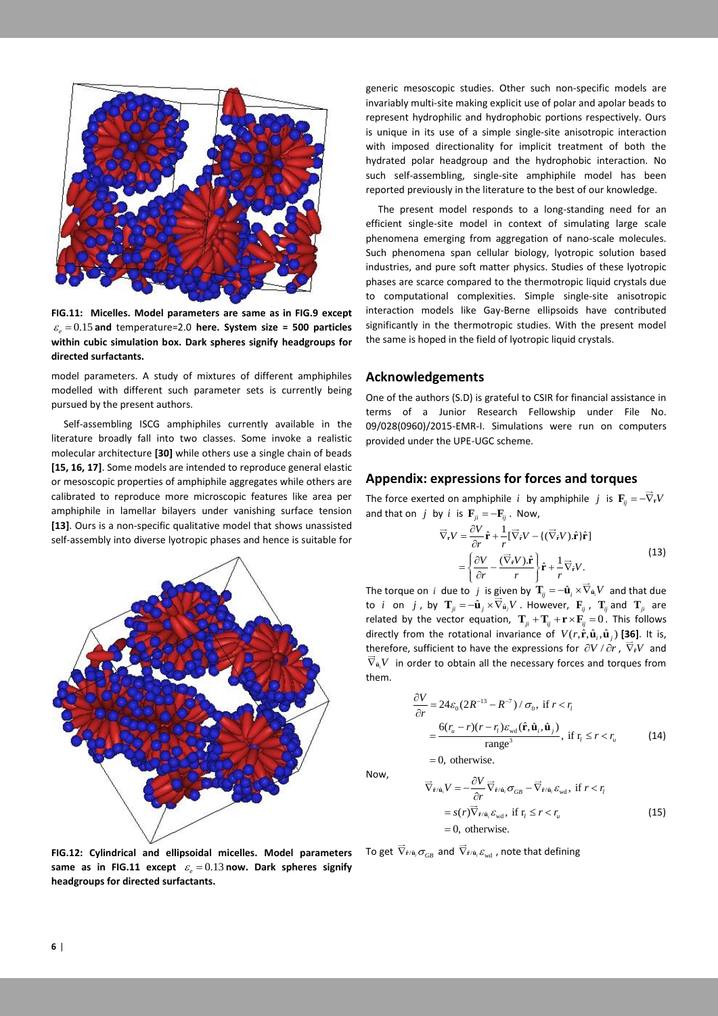

**FIG.11: Micelles. Model parameters are same as in FIG.9 except**   $\varepsilon_e = 0.15$  and temperature=2.0 here. System size = 500 particles **within cubic simulation box. Dark spheres signify headgroups for directed surfactants.**

model parameters. A study of mixtures of different amphiphiles modelled with different such parameter sets is currently being pursued by the present authors.

 Self-assembling ISCG amphiphiles currently available in the literature broadly fall into two classes. Some invoke a realistic molecular architecture **[30]** while others use a single chain of beads **[15, 16, 17]**. Some models are intended to reproduce general elastic or mesoscopic properties of amphiphile aggregates while others are calibrated to reproduce more microscopic features like area per amphiphile in lamellar bilayers under vanishing surface tension **[13]**. Ours is a non-specific qualitative model that shows unassisted self-assembly into diverse lyotropic phases and hence is suitable for



**FIG.12: Cylindrical and ellipsoidal micelles. Model parameters**  same as in FIG.11 except  $\varepsilon_e = 0.13$  now. Dark spheres signify **headgroups for directed surfactants.**

generic mesoscopic studies. Other such non-specific models are invariably multi-site making explicit use of polar and apolar beads to represent hydrophilic and hydrophobic portions respectively. Ours is unique in its use of a simple single-site anisotropic interaction with imposed directionality for implicit treatment of both the hydrated polar headgroup and the hydrophobic interaction. No such self-assembling, single-site amphiphile model has been reported previously in the literature to the best of our knowledge.

 The present model responds to a long-standing need for an efficient single-site model in context of simulating large scale phenomena emerging from aggregation of nano-scale molecules. Such phenomena span cellular biology, lyotropic solution based industries, and pure soft matter physics. Studies of these lyotropic phases are scarce compared to the thermotropic liquid crystals due to computational complexities. Simple single-site anisotropic interaction models like Gay-Berne ellipsoids have contributed significantly in the thermotropic studies. With the present model the same is hoped in the field of lyotropic liquid crystals.

## **Acknowledgements**

One of the authors (S.D) is grateful to CSIR for financial assistance in terms of a Junior Research Fellowship under File No. 09/028(0960)/2015-EMR-I. Simulations were run on computers provided under the UPE-UGC scheme.

#### **Appendix: expressions for forces and torques**

The force exerted on amphiphile i by amphiphile j is  $\mathbf{F}_{ij} = -\nabla_{\mathbf{r}}V$ and that on *j* by *i* is  $\mathbf{F}_{ji} = -\mathbf{F}_{ij}$ . Now,

$$
\overrightarrow{\nabla}_{r}V = \frac{\partial V}{\partial r}\hat{\mathbf{r}} + \frac{1}{r}[\overrightarrow{\nabla}_{\hat{r}}V - \{(\overrightarrow{\nabla}_{\hat{r}}V).\hat{\mathbf{r}}\}\hat{\mathbf{r}}]
$$
\n
$$
= \left\{\frac{\partial V}{\partial r} - \frac{(\overrightarrow{\nabla}_{\hat{r}}V).\hat{\mathbf{r}}}{r}\right\}\hat{\mathbf{r}} + \frac{1}{r}\overrightarrow{\nabla}_{\hat{r}}V.
$$
\n(13)

The torque on *i* due to *j* is given by  $\mathbf{T}_{ij} = -\hat{\mathbf{u}}_i \times \nabla_{\hat{\mathbf{u}}_i} V$  and that due to *i* on *j*, by  $\mathbf{T}_{ji} = -\hat{\mathbf{u}}_j \times \nabla_{\hat{\mathbf{u}}_j} V$  . However,  $\mathbf{F}_{ij}$ ,  $\mathbf{T}_{ij}$  and  $\mathbf{T}_{ji}$  are related by the vector equation,  $\mathbf{T}_{ji} + \mathbf{T}_{ij} + \mathbf{r} \times \mathbf{F}_{ij} = 0$ . This follows directly from the rotational invariance of  $V(r, \hat{\mathbf{r}}, \hat{\mathbf{u}}_i, \hat{\mathbf{u}}_j)$  [36]. It is, therefore, sufficient to have the expressions for  $\partial V / \partial r$ ,  $\nabla_{\dot{r}} V$  and  $\nabla_{\hat{\mathbf{u}}_i}V$  in order to obtain all the necessary forces and torques from them.

$$
\frac{\partial V}{\partial r} = 24\varepsilon_0 (2R^{-13} - R^{-7}) / \sigma_0, \text{ if } r < r_i
$$
  
= 
$$
\frac{6(r_u - r)(r - r_i)\varepsilon_{\text{wd}}(\hat{\mathbf{r}}, \hat{\mathbf{u}}_i, \hat{\mathbf{u}}_j)}{\text{range}^3}, \text{ if } r_i \le r < r_u
$$
 (14)

 $= 0$ , otherwise. Now,

$$
\overrightarrow{\nabla}_{\hat{\mathbf{r}}/\hat{\mathbf{u}}_i} V = -\frac{\partial V}{\partial r} \overrightarrow{\nabla}_{\hat{\mathbf{r}}/\hat{\mathbf{u}}_i} \sigma_{GB} - \overrightarrow{\nabla}_{\hat{\mathbf{r}}/\hat{\mathbf{u}}_i} \varepsilon_{\text{wd}}, \text{ if } r < r_i
$$
\n
$$
= s(r) \overrightarrow{\nabla}_{\hat{\mathbf{r}}/\hat{\mathbf{u}}_i} \varepsilon_{\text{wd}}, \text{ if } \mathbf{r}_i \leq r < r_u
$$
\n
$$
= 0, \text{ otherwise.}
$$
\n
$$
(15)
$$

To get  $\nabla_{\hat{\mathbf{r}}/\hat{\mathbf{u}}_i} \sigma_{GB}$  and  $\nabla_{\hat{\mathbf{r}}/\hat{\mathbf{u}}_i} \varepsilon_{wd}$  , note that defining